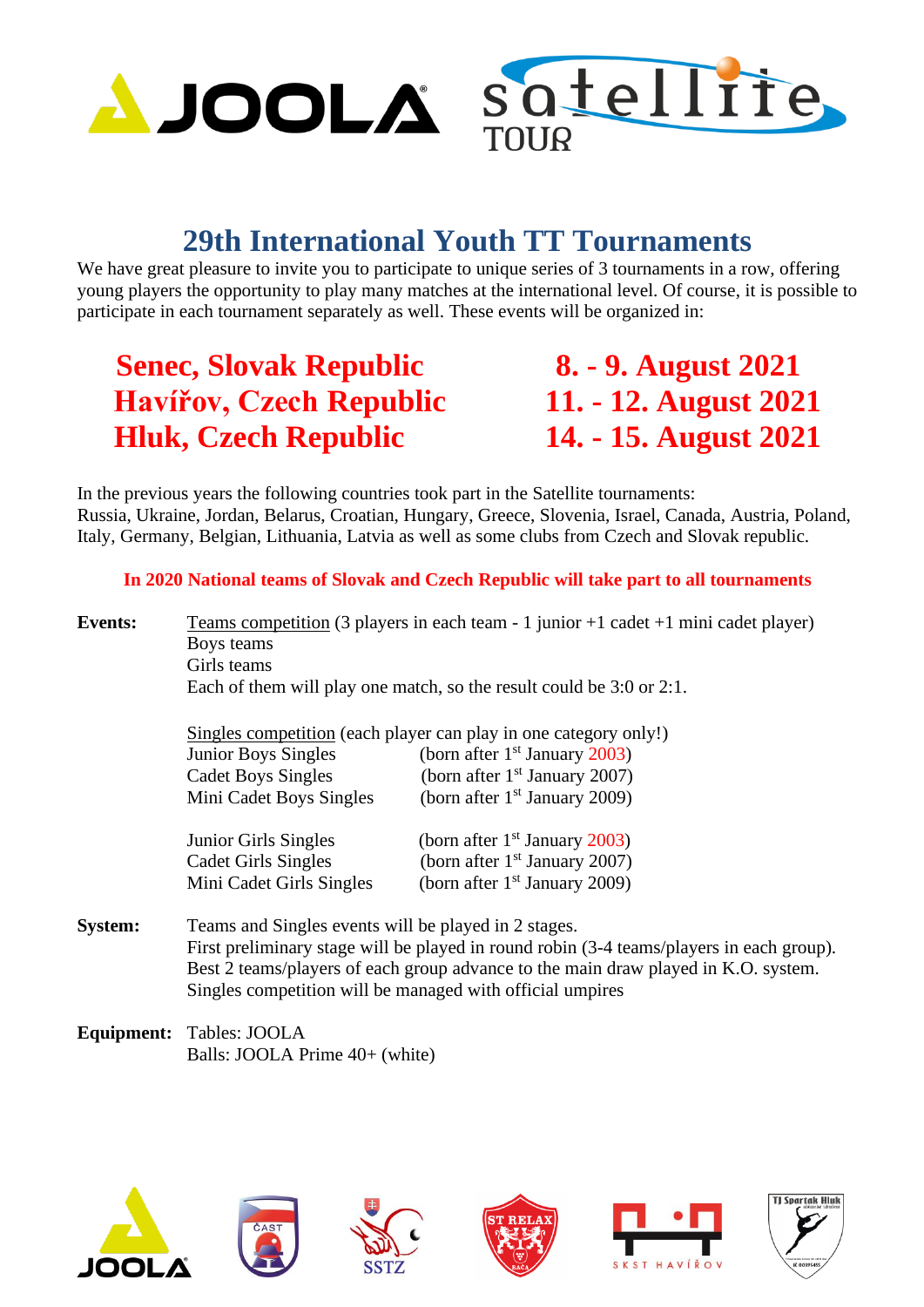

## **29th International Youth TT Tournaments**

We have great pleasure to invite you to participate to unique series of 3 tournaments in a row, offering young players the opportunity to play many matches at the international level. Of course, it is possible to participate in each tournament separately as well. These events will be organized in:

## **Senec, Slovak Republic 8. - 9. August 2021 Havířov, Czech Republic 11. - 12. August 2021 Hluk, Czech Republic 14. - 15. August 2021**

In the previous years the following countries took part in the Satellite tournaments: Russia, Ukraine, Jordan, Belarus, Croatian, Hungary, Greece, Slovenia, Israel, Canada, Austria, Poland, Italy, Germany, Belgian, Lithuania, Latvia as well as some clubs from Czech and Slovak republic.

## **In 2020 National teams of Slovak and Czech Republic will take part to all tournaments**

**Events:** Teams competition (3 players in each team - 1 junior +1 cadet +1 mini cadet player) Boys teams Girls teams Each of them will play one match, so the result could be 3:0 or 2:1.

| Singles competition (each player can play in one category only!) |                                 |  |  |  |  |
|------------------------------------------------------------------|---------------------------------|--|--|--|--|
| <b>Junior Boys Singles</b>                                       | (born after $1st$ January 2003) |  |  |  |  |
| <b>Cadet Boys Singles</b>                                        | (born after $1st$ January 2007) |  |  |  |  |
| Mini Cadet Boys Singles                                          | (born after $1st$ January 2009) |  |  |  |  |
| Junior Girls Singles                                             | (born after $1st$ January 2003) |  |  |  |  |
| <b>Cadet Girls Singles</b>                                       | (born after $1st$ January 2007) |  |  |  |  |
| Mini Cadet Girls Singles                                         | (born after $1st$ January 2009) |  |  |  |  |

**System:** Teams and Singles events will be played in 2 stages. First preliminary stage will be played in round robin (3-4 teams/players in each group). Best 2 teams/players of each group advance to the main draw played in K.O. system. Singles competition will be managed with official umpires

**Equipment:** Tables: JOOLA Balls: JOOLA Prime 40+ (white)